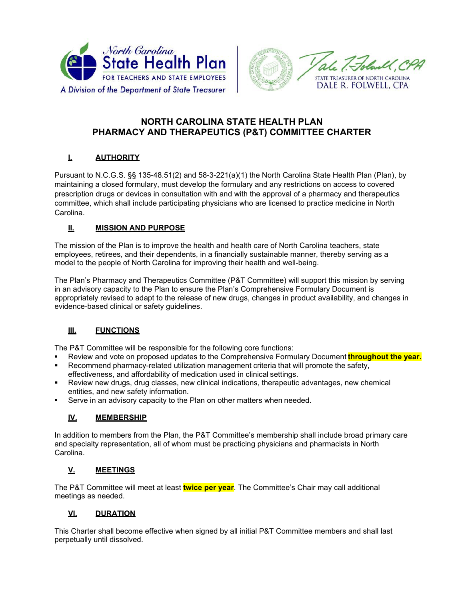



# **NORTH CAROLINA STATE HEALTH PLAN PHARMACY AND THERAPEUTICS (P&T) COMMITTEE CHARTER**

## **I. AUTHORITY**

Pursuant to N.C.G.S. §§ 135-48.51(2) and 58-3-221(a)(1) the North Carolina State Health Plan (Plan), by maintaining a closed formulary, must develop the formulary and any restrictions on access to covered prescription drugs or devices in consultation with and with the approval of a pharmacy and therapeutics committee, which shall include participating physicians who are licensed to practice medicine in North Carolina.

### **II. MISSION AND PURPOSE**

The mission of the Plan is to improve the health and health care of North Carolina teachers, state employees, retirees, and their dependents, in a financially sustainable manner, thereby serving as a model to the people of North Carolina for improving their health and well-being.

The Plan's Pharmacy and Therapeutics Committee (P&T Committee) will support this mission by serving in an advisory capacity to the Plan to ensure the Plan's Comprehensive Formulary Document is appropriately revised to adapt to the release of new drugs, changes in product availability, and changes in evidence-based clinical or safety guidelines.

## **III. FUNCTIONS**

The P&T Committee will be responsible for the following core functions:

- Review and vote on proposed updates to the Comprehensive Formulary Document **throughout the year.**
- Recommend pharmacy-related utilization management criteria that will promote the safety, effectiveness, and affordability of medication used in clinical settings.
- Review new drugs, drug classes, new clinical indications, therapeutic advantages, new chemical entities, and new safety information.
- Serve in an advisory capacity to the Plan on other matters when needed.

#### **IV. MEMBERSHIP**

In addition to members from the Plan, the P&T Committee's membership shall include broad primary care and specialty representation, all of whom must be practicing physicians and pharmacists in North Carolina.

#### **V. MEETINGS**

The P&T Committee will meet at least **twice per year**. The Committee's Chair may call additional meetings as needed.

#### **VI. DURATION**

This Charter shall become effective when signed by all initial P&T Committee members and shall last perpetually until dissolved.